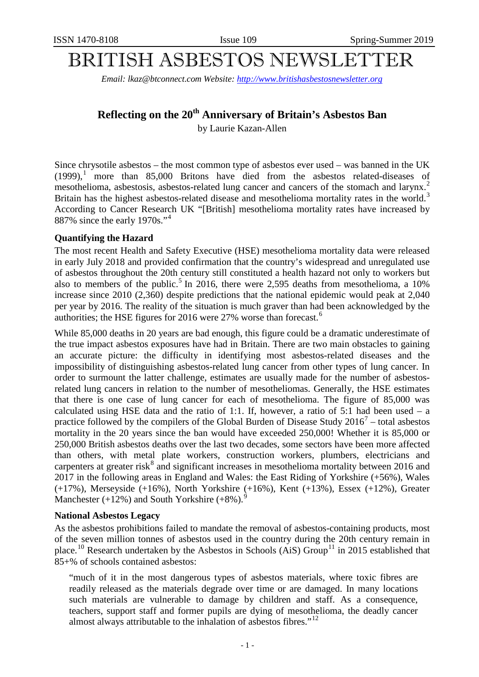# BRITISH ASBESTOS NEWSLETTER

*Email: lkaz@btconnect.com Website: [http://www.britishasbestosnewsletter.org](http://www.britishasbestosnewsletter.org/)*

## Reflecting on the 20<sup>th</sup> Anniversary of Britain's Asbestos Ban

by Laurie Kazan-Allen

Since chrysotile asbestos – the most common type of asbestos ever used – was banned in the UK  $(1999)$  $(1999)$  $(1999)$ ,<sup>1</sup> more than 85,000 Britons have died from the asbestos related-diseases of mesothelioma, asbestosis, asbestos-related lung cancer and cancers of the stomach and larynx.<sup>[2](#page-6-1)</sup> Britain has the highest asbestos-related disease and mesothelioma mortality rates in the world.<sup>[3](#page-6-2)</sup> According to Cancer Research UK "[British] mesothelioma mortality rates have increased by 887% since the early 1970s."[4](#page-6-3)

#### **Quantifying the Hazard**

The most recent Health and Safety Executive (HSE) mesothelioma mortality data were released in early July 2018 and provided confirmation that the country's widespread and unregulated use of asbestos throughout the 20th century still constituted a health hazard not only to workers but also to members of the public.<sup>[5](#page-6-4)</sup> In 2016, there were 2,595 deaths from mesothelioma, a  $10\%$ increase since 2010 (2,360) despite predictions that the national epidemic would peak at 2,040 per year by 2016. The reality of the situation is much graver than had been acknowledged by the authorities; the HSE figures for 201[6](#page-6-5) were 27% worse than forecast.<sup>6</sup>

While 85,000 deaths in 20 years are bad enough, this figure could be a dramatic underestimate of the true impact asbestos exposures have had in Britain. There are two main obstacles to gaining an accurate picture: the difficulty in identifying most asbestos-related diseases and the impossibility of distinguishing asbestos-related lung cancer from other types of lung cancer. In order to surmount the latter challenge, estimates are usually made for the number of asbestosrelated lung cancers in relation to the number of mesotheliomas. Generally, the HSE estimates that there is one case of lung cancer for each of mesothelioma. The figure of 85,000 was calculated using HSE data and the ratio of 1:1. If, however, a ratio of 5:1 had been used – a practice followed by the compilers of the Global Burden of Disease Study  $2016<sup>7</sup>$  $2016<sup>7</sup>$  $2016<sup>7</sup>$  – total asbestos mortality in the 20 years since the ban would have exceeded 250,000! Whether it is 85,000 or 250,000 British asbestos deaths over the last two decades, some sectors have been more affected than others, with metal plate workers, construction workers, plumbers, electricians and carpenters at greater risk $^8$  $^8$  and significant increases in mesothelioma mortality between 2016 and 2017 in the following areas in England and Wales: the East Riding of Yorkshire (+56%), Wales (+17%), Merseyside (+16%), North Yorkshire (+16%), Kent (+13%), Essex (+12%), Greater Manchester  $(+12\%)$  and South Yorkshire  $(+8\%)$ .

#### **National Asbestos Legacy**

As the asbestos prohibitions failed to mandate the removal of asbestos-containing products, most of the seven million tonnes of asbestos used in the country during the 20th century remain in place.<sup>[10](#page-6-9)</sup> Research undertaken by the Asbestos in Schools (AiS) Group<sup>[11](#page-6-10)</sup> in 2015 established that 85+% of schools contained asbestos:

"much of it in the most dangerous types of asbestos materials, where toxic fibres are readily released as the materials degrade over time or are damaged. In many locations such materials are vulnerable to damage by children and staff. As a consequence, teachers, support staff and former pupils are dying of mesothelioma, the deadly cancer almost always attributable to the inhalation of asbestos fibres."<sup>[12](#page-6-11)</sup>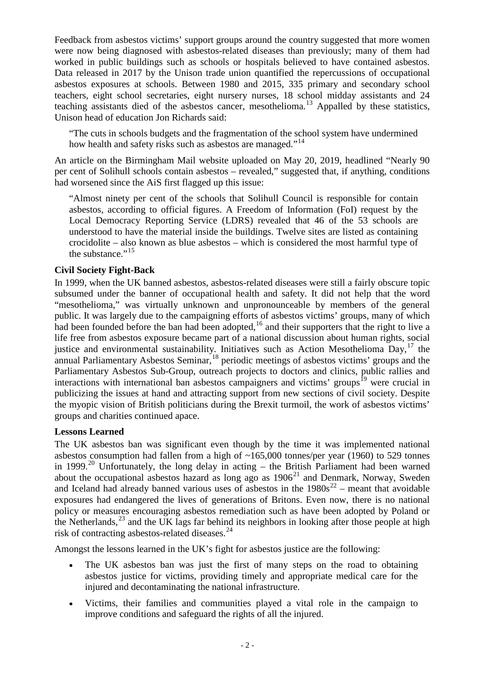Feedback from asbestos victims' support groups around the country suggested that more women were now being diagnosed with asbestos-related diseases than previously; many of them had worked in public buildings such as schools or hospitals believed to have contained asbestos. Data released in 2017 by the Unison trade union quantified the repercussions of occupational asbestos exposures at schools. Between 1980 and 2015, 335 primary and secondary school teachers, eight school secretaries, eight nursery nurses, 18 school midday assistants and 24 teaching assistants died of the asbestos cancer, mesothelioma.<sup>[13](#page-7-0)</sup> Appalled by these statistics, Unison head of education Jon Richards said:

"The cuts in schools budgets and the fragmentation of the school system have undermined how health and safety risks such as asbestos are managed."<sup>[14](#page-7-1)</sup>

An article on the Birmingham Mail website uploaded on May 20, 2019, headlined "Nearly 90 per cent of Solihull schools contain asbestos – revealed," suggested that, if anything, conditions had worsened since the AiS first flagged up this issue:

"Almost ninety per cent of the schools that Solihull Council is responsible for contain asbestos, according to official figures. A Freedom of Information (FoI) request by the [Local Democracy Reporting Service](https://www.birminghammail.co.uk/all-about/local-democracy-reporting-service) (LDRS) revealed that 46 of the 53 schools are understood to have the material inside the buildings. Twelve sites are listed as containing crocidolite – also known as blue asbestos – which is considered the most harmful type of the substance."<sup>[15](#page-7-2)</sup>

#### **Civil Society Fight-Back**

In 1999, when the UK banned asbestos, asbestos-related diseases were still a fairly obscure topic subsumed under the banner of occupational health and safety. It did not help that the word "mesothelioma," was virtually unknown and [unpronounceable](https://www.google.com/search?rlz=1C1CHVE_en-GBGB563GB577&q=unpronounceable&spell=1&sa=X&ved=0ahUKEwiIhYnmrqziAhUITRUIHblWAPQQBQgpKAA) by members of the general public. It was largely due to the campaigning efforts of asbestos victims' groups, many of which had been founded before the ban had been adopted,  $16$  and their supporters that the right to live a life free from asbestos exposure became part of a national discussion about human rights, social justice and environmental sustainability. Initiatives such as Action Mesothelioma Day,<sup>[17](#page-7-4)</sup> the annual Parliamentary Asbestos Seminar,<sup>[18](#page-7-5)</sup> periodic meetings of asbestos victims' groups and the Parliamentary Asbestos Sub-Group, outreach projects to doctors and clinics, public rallies and interactions with international ban asbestos campaigners and victims' groups<sup>[19](#page-7-6)</sup> were crucial in publicizing the issues at hand and attracting support from new sections of civil society. Despite the myopic vision of British politicians during the Brexit turmoil, the work of asbestos victims' groups and charities continued apace.

#### **Lessons Learned**

The UK asbestos ban was significant even though by the time it was implemented national asbestos consumption had fallen from a high of ~165,000 tonnes/per year (1960) to 529 tonnes in 1999.<sup>[20](#page-7-7)</sup> Unfortunately, the long delay in acting – the British Parliament had been warned about the occupational asbestos hazard as long ago as  $1906<sup>21</sup>$  $1906<sup>21</sup>$  $1906<sup>21</sup>$  and Denmark, Norway, Sweden and Iceland had already banned various uses of asbestos in the  $1980s^{22}$  $1980s^{22}$  $1980s^{22}$  – meant that avoidable exposures had endangered the lives of generations of Britons. Even now, there is no national policy or measures encouraging asbestos remediation such as have been adopted by Poland or the Netherlands,  $^{23}$  $^{23}$  $^{23}$  and the UK lags far behind its neighbors in looking after those people at high risk of contracting asbestos-related diseases.<sup>[24](#page-7-11)</sup>

Amongst the lessons learned in the UK's fight for asbestos justice are the following:

- The UK asbestos ban was just the first of many steps on the road to obtaining asbestos justice for victims, providing timely and appropriate medical care for the injured and decontaminating the national infrastructure.
- Victims, their families and communities played a vital role in the campaign to improve conditions and safeguard the rights of all the injured.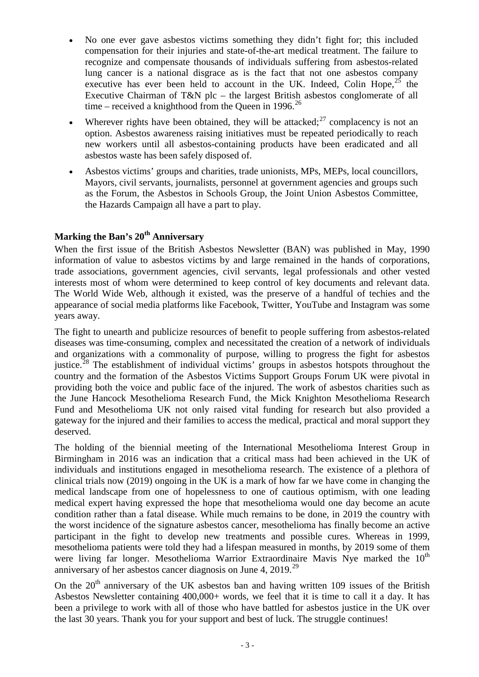- No one ever gave asbestos victims something they didn't fight for; this included compensation for their injuries and state-of-the-art medical treatment. The failure to recognize and compensate thousands of individuals suffering from asbestos-related lung cancer is a national disgrace as is the fact that not one asbestos company executive has ever been held to account in the UK. Indeed, Colin Hope,  $2^5$  the Executive Chairman of T&N plc – the largest British asbestos conglomerate of all time – received a knighthood from the Queen in 1996.<sup>[26](#page-7-13)</sup>
- Wherever rights have been obtained, they will be attacked;  $27$  complacency is not an option. Asbestos awareness raising initiatives must be repeated periodically to reach new workers until all asbestos-containing products have been eradicated and all asbestos waste has been safely disposed of.
- Asbestos victims' groups and charities, trade unionists, MPs, MEPs, local councillors, Mayors, civil servants, journalists, personnel at government agencies and groups such as the Forum, the Asbestos in Schools Group, the Joint Union Asbestos Committee, the Hazards Campaign all have a part to play.

### **Marking the Ban's 20th Anniversary**

When the first issue of the British Asbestos Newsletter (BAN) was published in May, 1990 information of value to asbestos victims by and large remained in the hands of corporations, trade associations, government agencies, civil servants, legal professionals and other vested interests most of whom were determined to keep control of key documents and relevant data. The World Wide Web, although it existed, was the preserve of a handful of techies and the appearance of social media platforms like Facebook, Twitter, YouTube and Instagram was some years away.

The fight to unearth and publicize resources of benefit to people suffering from asbestos-related diseases was time-consuming, complex and necessitated the creation of a network of individuals and organizations with a commonality of purpose, willing to progress the fight for asbestos justice.<sup>[28](#page-7-15)</sup> The establishment of individual victims' groups in asbestos hotspots throughout the country and the formation of the Asbestos Victims Support Groups Forum UK were pivotal in providing both the voice and public face of the injured. The work of asbestos charities such as the June Hancock Mesothelioma Research Fund, the Mick Knighton Mesothelioma Research Fund and Mesothelioma UK not only raised vital funding for research but also provided a gateway for the injured and their families to access the medical, practical and moral support they deserved.

The holding of the biennial meeting of the International Mesothelioma Interest Group in Birmingham in 2016 was an indication that a critical mass had been achieved in the UK of individuals and institutions engaged in mesothelioma research. The existence of a plethora of clinical trials now (2019) ongoing in the UK is a mark of how far we have come in changing the medical landscape from one of hopelessness to one of cautious optimism, with one leading medical expert having expressed the hope that mesothelioma would one day become an acute condition rather than a fatal disease. While much remains to be done, in 2019 the country with the worst incidence of the signature asbestos cancer, mesothelioma has finally become an active participant in the fight to develop new treatments and possible cures. Whereas in 1999, mesothelioma patients were told they had a lifespan measured in months, by 2019 some of them were living far longer. Mesothelioma Warrior Extraordinaire Mavis Nye marked the  $10<sup>th</sup>$ anniversary of her asbestos cancer diagnosis on June 4,  $2019.<sup>29</sup>$  $2019.<sup>29</sup>$  $2019.<sup>29</sup>$ 

On the  $20<sup>th</sup>$  anniversary of the UK asbestos ban and having written 109 issues of the British Asbestos Newsletter containing 400,000+ words, we feel that it is time to call it a day. It has been a privilege to work with all of those who have battled for asbestos justice in the UK over the last 30 years. Thank you for your support and best of luck. The struggle continues!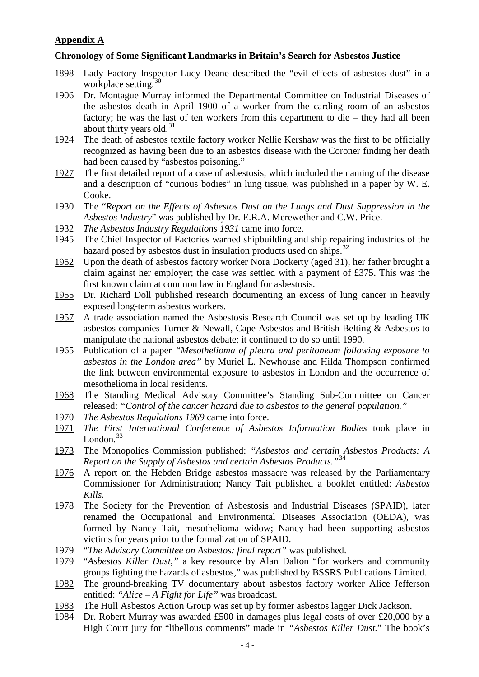#### **Appendix A**

#### **Chronology of Some Significant Landmarks in Britain's Search for Asbestos Justice**

- 1898 Lady Factory Inspector Lucy Deane described the "evil effects of asbestos dust" in a workplace setting.  $30$
- 1906 Dr. Montague Murray informed the Departmental Committee on Industrial Diseases of the asbestos death in April 1900 of a worker from the carding room of an asbestos factory; he was the last of ten workers from this department to die – they had all been about thirty years old. $31$
- 1924 The death of asbestos textile factory worker Nellie Kershaw was the first to be officially recognized as having been due to an asbestos disease with the Coroner finding her death had been caused by "asbestos poisoning."
- 1927 The first detailed report of a case of asbestosis, which included the naming of the disease and a description of "curious bodies" in lung tissue, was published in a paper by W. E. Cooke.
- 1930 The "*Report on the Effects of Asbestos Dust on the Lungs and Dust Suppression in the Asbestos Industry*" was published by Dr. E.R.A. Merewether and C.W. Price.
- 1932 *The Asbestos Industry Regulations 1931* came into force.
- 1945 The Chief Inspector of Factories warned shipbuilding and ship repairing industries of the hazard posed by asbestos dust in insulation products used on ships.<sup>[32](#page-7-19)</sup>
- 1952 Upon the death of asbestos factory worker Nora Dockerty (aged 31), her father brought a claim against her employer; the case was settled with a payment of £375. This was the first known claim at common law in England for asbestosis.
- 1955 Dr. Richard Doll published research documenting an excess of lung cancer in heavily exposed long-term asbestos workers.
- 1957 A trade association named the Asbestosis Research Council was set up by leading UK asbestos companies Turner & Newall, Cape Asbestos and British Belting & Asbestos to manipulate the national asbestos debate; it continued to do so until 1990.
- 1965 Publication of a paper *"Mesothelioma of pleura and peritoneum following exposure to asbestos in the London area"* by Muriel L. Newhouse and Hilda Thompson confirmed the link between environmental exposure to asbestos in London and the occurrence of mesothelioma in local residents.
- 1968 The Standing Medical Advisory Committee's Standing Sub-Committee on Cancer released: *"Control of the cancer hazard due to asbestos to the general population."*
- 1970 *The Asbestos Regulations 1969* came into force.
- 1971 *The First International Conference of Asbestos Information Bodies* took place in London. $33$
- 1973 The Monopolies Commission published: *"Asbestos and certain Asbestos Products: A Report on the Supply of Asbestos and certain Asbestos Products."*[34](#page-7-21)
- 1976 A report on the Hebden Bridge asbestos massacre was released by the Parliamentary Commissioner for Administration; Nancy Tait published a booklet entitled: *Asbestos Kills.*
- 1978 The Society for the Prevention of Asbestosis and Industrial Diseases (SPAID), later renamed the Occupational and Environmental Diseases Association (OEDA), was formed by Nancy Tait, mesothelioma widow; Nancy had been supporting asbestos victims for years prior to the formalization of SPAID.
- 1979 "*The Advisory Committee on Asbestos: final report"* was published.
- 1979 "*Asbestos Killer Dust,"* a key resource by Alan Dalton "for workers and community groups fighting the hazards of asbestos," was published by BSSRS Publications Limited.
- 1982 The ground-breaking TV documentary about asbestos factory worker Alice Jefferson entitled: *"Alice – A Fight for Life"* was broadcast.
- 1983 The Hull Asbestos Action Group was set up by former asbestos lagger Dick Jackson.
- 1984 Dr. Robert Murray was awarded £500 in damages plus legal costs of over £20,000 by a High Court jury for "libellous comments" made in *"Asbestos Killer Dust.*" The book's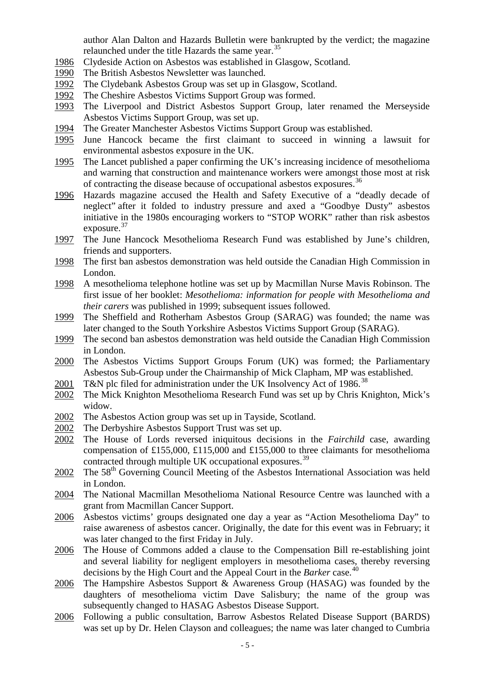author Alan Dalton and Hazards Bulletin were bankrupted by the verdict; the magazine relaunched under the title Hazards the same year.<sup>[35](#page-7-22)</sup>

- 1986 Clydeside Action on Asbestos was established in Glasgow, Scotland.
- 1990 The British Asbestos Newsletter was launched.
- 1992 The Clydebank Asbestos Group was set up in Glasgow, Scotland.
- 1992 The Cheshire Asbestos Victims Support Group was formed.
- 1993 The Liverpool and District Asbestos Support Group, later renamed the Merseyside Asbestos Victims Support Group, was set up.
- 1994 The Greater Manchester Asbestos Victims Support Group was established.
- 1995 June Hancock became the first claimant to succeed in winning a lawsuit for environmental asbestos exposure in the UK.
- 1995 The Lancet published a paper confirming the UK's increasing incidence of mesothelioma and warning that construction and maintenance workers were amongst those most at risk of contracting the disease because of occupational asbestos exposures.[36](#page-7-23)
- 1996 Hazards magazine accused the Health and Safety Executive of a "deadly decade of neglect" after it folded to industry pressure and axed a "Goodbye Dusty" asbestos initiative in the 1980s encouraging workers to "STOP WORK" rather than risk asbestos exposure.<sup>[37](#page-7-24)</sup>
- 1997 The June Hancock Mesothelioma Research Fund was established by June's children, friends and supporters.
- 1998 The first ban asbestos demonstration was held outside the Canadian High Commission in London.
- 1998 A mesothelioma telephone hotline was set up by Macmillan Nurse Mavis Robinson. The first issue of her booklet: *Mesothelioma: information for people with Mesothelioma and their carers* was published in 1999; subsequent issues followed.
- 1999 The Sheffield and Rotherham Asbestos Group (SARAG) was founded; the name was later changed to the South Yorkshire Asbestos Victims Support Group (SARAG).
- 1999 The second ban asbestos demonstration was held outside the Canadian High Commission in London.
- 2000 The Asbestos Victims Support Groups Forum (UK) was formed; the Parliamentary Asbestos Sub-Group under the Chairmanship of Mick Clapham, MP was established.
- 2001 T&N plc filed for administration under the UK Insolvency Act of 1986.<sup>[38](#page-7-25)</sup>
- 2002 The Mick Knighton Mesothelioma Research Fund was set up by Chris Knighton, Mick's widow.
- 2002 The Asbestos Action group was set up in Tayside, Scotland.
- 2002 The Derbyshire Asbestos Support Trust was set up.
- 2002 The House of Lords reversed iniquitous decisions in the *Fairchild* case, awarding compensation of £155,000, £115,000 and £155,000 to three claimants for mesothelioma contracted through multiple UK occupational exposures.<sup>[39](#page-7-26)</sup>
- 2002 The 58<sup>th</sup> Governing Council Meeting of the Asbestos International Association was held in London.
- 2004 The National Macmillan Mesothelioma National Resource Centre was launched with a grant from Macmillan Cancer Support.
- 2006 Asbestos victims' groups designated one day a year as "Action Mesothelioma Day" to raise awareness of asbestos cancer. Originally, the date for this event was in February; it was later changed to the first Friday in July.
- 2006 The House of Commons added a clause to the Compensation Bill re-establishing joint and several liability for negligent employers in mesothelioma cases, thereby reversing decisions by the High Court and the Appeal Court in the *Barker* case.<sup>[40](#page-7-27)</sup>
- 2006 The Hampshire Asbestos Support & Awareness Group (HASAG) was founded by the daughters of mesothelioma victim Dave Salisbury; the name of the group was subsequently changed to HASAG Asbestos Disease Support.
- 2006 Following a public consultation, Barrow Asbestos Related Disease Support (BARDS) was set up by Dr. Helen Clayson and colleagues; the name was later changed to Cumbria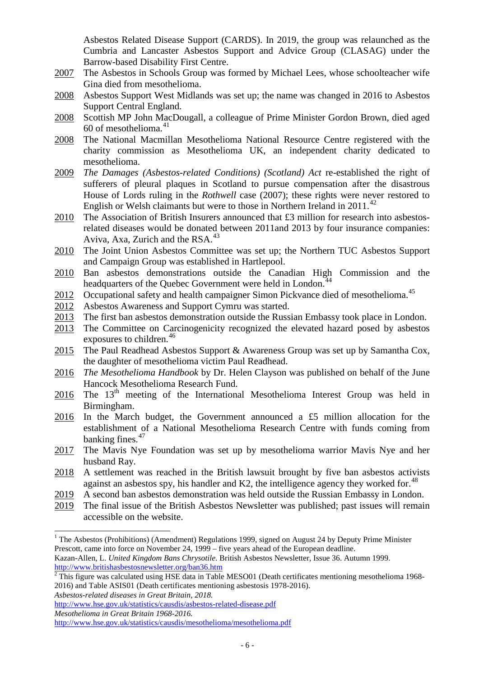Asbestos Related Disease Support (CARDS). In 2019, the group was relaunched as the Cumbria and Lancaster Asbestos Support and Advice Group (CLASAG) under the Barrow-based Disability First Centre.

- 2007 The Asbestos in Schools Group was formed by Michael Lees, whose schoolteacher wife Gina died from mesothelioma.
- 2008 Asbestos Support West Midlands was set up; the name was changed in 2016 to Asbestos Support Central England.
- 2008 Scottish MP John MacDougall, a colleague of Prime Minister Gordon Brown, died aged 60 of mesothelioma.<sup>[41](#page-7-28)</sup>
- 2008 The National Macmillan Mesothelioma National Resource Centre registered with the charity commission as Mesothelioma UK, an independent charity dedicated to mesothelioma.
- 2009 *The Damages (Asbestos-related Conditions) (Scotland) Act* re-established the right of sufferers of pleural plaques in Scotland to pursue compensation after the disastrous House of Lords ruling in the *Rothwell* case (2007); these rights were never restored to English or Welsh claimants but were to those in Northern Ireland in  $2011<sup>42</sup>$  $2011<sup>42</sup>$  $2011<sup>42</sup>$
- 2010 The Association of British Insurers announced that £3 million for research into asbestosrelated diseases would be donated between 2011and 2013 by four insurance companies: Aviva, Axa, Zurich and the RSA.<sup>[43](#page-7-5)</sup>
- 2010 The Joint Union Asbestos Committee was set up; the Northern TUC Asbestos Support and Campaign Group was established in Hartlepool.
- 2010 Ban asbestos demonstrations outside the Canadian High Commission and the headquarters of the Quebec Government were held in London.<sup>[44](#page-7-6)</sup>
- $\frac{2012}{2012}$  Occupational safety and health campaigner Simon Pickvance died of mesothelioma.<sup>[45](#page-7-7)</sup><br>2012 Asbestos Awareness and Support Cymru was started.
- Asbestos Awareness and Support Cymru was started.
- 2013 The first ban asbestos demonstration outside the Russian Embassy took place in London.
- 2013 The Committee on Carcinogenicity recognized the elevated hazard posed by asbestos exposures to children.<sup>[46](#page-7-8)</sup>
- 2015 The Paul Readhead Asbestos Support & Awareness Group was set up by Samantha Cox, the daughter of mesothelioma victim Paul Readhead.
- 2016 *The Mesothelioma Handbook* by Dr. Helen Clayson was published on behalf of the June Hancock Mesothelioma Research Fund.
- $2016$  The 13<sup>th</sup> meeting of the International Mesothelioma Interest Group was held in Birmingham.
- 2016 In the March budget, the Government announced a £5 million allocation for the establishment of a National Mesothelioma Research Centre with funds coming from banking fines.<sup>[47](#page-7-30)</sup>
- 2017 The Mavis Nye Foundation was set up by mesothelioma warrior Mavis Nye and her husband Ray.
- 2018 A settlement was reached in the British lawsuit brought by five ban asbestos activists against an asbestos spy, his handler and K2, the intelligence agency they worked for. $^{48}$  $^{48}$  $^{48}$
- 2019 A second ban asbestos demonstration was held outside the Russian Embassy in London.
- 2019 The final issue of the British Asbestos Newsletter was published; past issues will remain accessible on the website.

*Asbestos-related diseases in Great Britain, 2018.*

<sup>&</sup>lt;sup>1</sup> The Asbestos (Prohibitions) (Amendment) Regulations 1999, signed on August 24 by Deputy Prime Minister Prescott, came into force on November 24, 1999 – five years ahead of the European deadline.

Kazan-Allen, L. *United Kingdom Bans Chrysotile*. British Asbestos Newsletter, Issue 36. Autumn 1999. <http://www.britishasbestosnewsletter.org/ban36.htm>

 $\frac{1}{2}$  This figure was calculated using HSE data in Table MESO01 (Death certificates mentioning mesothelioma 1968-2016) and Table ASIS01 (Death certificates mentioning asbestosis 1978-2016).

<http://www.hse.gov.uk/statistics/causdis/asbestos-related-disease.pdf>

*Mesothelioma in Great Britain 1968-2016.*

<http://www.hse.gov.uk/statistics/causdis/mesothelioma/mesothelioma.pdf>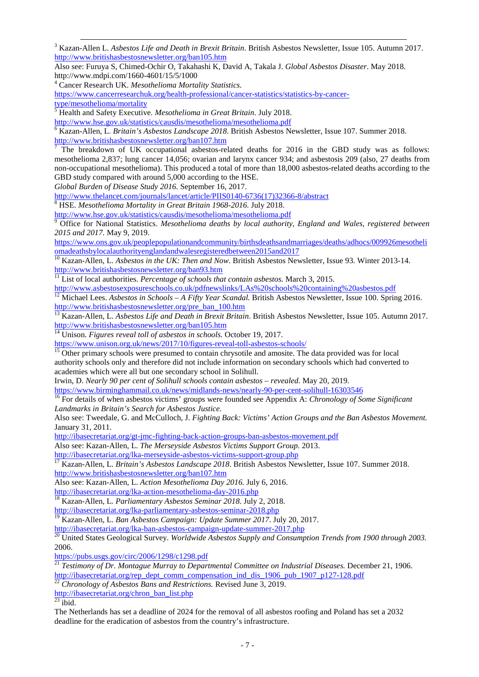<span id="page-6-2"></span> 3 Kazan-Allen L. *Asbestos Life and Death in Brexit Britain*. British Asbestos Newsletter, Issue 105. Autumn 2017. <http://www.britishasbestosnewsletter.org/ban105.htm>

Also see: Furuya S, Chimed-Ochir O, Takahashi K, David A, Takala J. *Global Asbestos Disaster*. May 2018. http://www.mdpi.com/1660-4601/15/5/1000 <sup>4</sup> Cancer Research UK. *Mesothelioma Mortality Statistics.*

<span id="page-6-3"></span>

[https://www.cancerresearchuk.org/health-professional/cancer-statistics/statistics-by-cancer](https://www.cancerresearchuk.org/health-professional/cancer-statistics/statistics-by-cancer-type/mesothelioma/mortality)[type/mesothelioma/mortality](https://www.cancerresearchuk.org/health-professional/cancer-statistics/statistics-by-cancer-type/mesothelioma/mortality)

<sup>5</sup> Health and Safety Executive. *Mesothelioma in Great Britain*. July 2018.

<span id="page-6-4"></span><http://www.hse.gov.uk/statistics/causdis/mesothelioma/mesothelioma.pdf>

<span id="page-6-5"></span><sup>6</sup> Kazan-Allen, L. *Britain's Asbestos Landscape 2018*. British Asbestos Newsletter, Issue 107. Summer 2018. <http://www.britishasbestosnewsletter.org/ban107.htm>

<span id="page-6-6"></span>The breakdown of UK occupational asbestos-related deaths for 2016 in the GBD study was as follows: mesothelioma 2,837; lung cancer 14,056; ovarian and larynx cancer 934; and asbestosis 209 (also, 27 deaths from non-occupational mesothelioma). This produced a total of more than 18,000 asbestos-related deaths according to the GBD study compared with around 5,000 according to the HSE.

*Global Burden of Disease Study 2016.* September 16, 2017.

[http://www.thelancet.com/journals/lancet/article/PIIS0140-6736\(17\)32366-8/abstract](http://www.thelancet.com/journals/lancet/article/PIIS0140-6736(17)32366-8/abstract) <sup>8</sup> HSE. *Mesothelioma Mortality in Great Britain 1968-2016.* July 2018.

<span id="page-6-8"></span>

<span id="page-6-7"></span><http://www.hse.gov.uk/statistics/causdis/mesothelioma/mesothelioma.pdf> <sup>9</sup> Office for National Statistics. *Mesothelioma deaths by local authority, England and Wales, registered between 2015 and 2017.* May 9, 2019.

[https://www.ons.gov.uk/peoplepopulationandcommunity/birthsdeathsandmarriages/deaths/adhocs/009926mesotheli](https://www.ons.gov.uk/peoplepopulationandcommunity/birthsdeathsandmarriages/deaths/adhocs/009926mesotheliomadeathsbylocalauthorityenglandandwalesregisteredbetween2015and2017) [omadeathsbylocalauthorityenglandandwalesregisteredbetween2015and2017](https://www.ons.gov.uk/peoplepopulationandcommunity/birthsdeathsandmarriages/deaths/adhocs/009926mesotheliomadeathsbylocalauthorityenglandandwalesregisteredbetween2015and2017)

<span id="page-6-9"></span><sup>10</sup> Kazan-Allen, L. *Asbestos in the UK: Then and Now*. British Asbestos Newsletter, Issue 93. Winter 2013-14. <http://www.britishasbestosnewsletter.org/ban93.htm>

<sup>11</sup> List of local authorities. *Percentage of schools that contain asbestos.* March 3, 2015.

<span id="page-6-10"></span><http://www.asbestosexposureschools.co.uk/pdfnewslinks/LAs%20schools%20containing%20asbestos.pdf>

<span id="page-6-11"></span><sup>12</sup> Michael Lees. *Asbestos in Schools – A Fifty Year Scandal*. British Asbestos Newsletter, Issue 100. Spring 2016. [http://www.britishasbestosnewsletter.org/pre\\_ban\\_100.htm](http://www.britishasbestosnewsletter.org/pre_ban_100.htm)

<sup>13</sup> Kazan-Allen, L. *Asbestos Life and Death in Brexit Britain*. British Asbestos Newsletter, Issue 105. Autumn 2017. <http://www.britishasbestosnewsletter.org/ban105.htm>

<sup>14</sup> Unison. Figures reveal toll of asbestos in schools. October 19, 2017.

<https://www.unison.org.uk/news/2017/10/figures-reveal-toll-asbestos-schools/><br><sup>15</sup> Other primary schools were presumed to contain chrysotile and amosite. The data provided was for local authority schools only and therefore did not include information on secondary schools which had converted to academies which were all but one secondary school in Solihull.

Irwin, D. *Nearly 90 per cent of Solihull schools contain asbestos – revealed.* May 20, 2019.

<https://www.birminghammail.co.uk/news/midlands-news/nearly-90-per-cent-solihull-16303546> <sup>16</sup> For details of when asbestos victims' groups were founded see Appendix A: *Chronology of Some Significant Landmarks in Britain's Search for Asbestos Justice.*

Also see: Tweedale, G. and McCulloch, J. *Fighting Back: Victims' Action Groups and the Ban Asbestos Movement.*  January 31, 2011.

<http://ibasecretariat.org/gt-jmc-fighting-back-action-groups-ban-asbestos-movement.pdf>

Also see: Kazan-Allen, L. *The Merseyside Asbestos Victims Support Group.* 2013.

<http://ibasecretariat.org/lka-merseyside-asbestos-victims-support-group.php> <sup>17</sup> Kazan-Allen, L. *Britain's Asbestos Landscape 2018*. British Asbestos Newsletter, Issue 107. Summer 2018. <http://www.britishasbestosnewsletter.org/ban107.htm>

Also see: Kazan-Allen, L. *Action Mesothelioma Day 2016.* July 6, 2016.

<http://ibasecretariat.org/lka-action-mesothelioma-day-2016.php> <sup>18</sup> Kazan-Allen, L*. Parliamentary Asbestos Seminar 2018.* July 2, 2018.

<http://ibasecretariat.org/lka-parliamentary-asbestos-seminar-2018.php><br><sup>19</sup> Kezen, Allan J. C.

<sup>19</sup> Kazan-Allen, L. *Ban Asbestos Campaign: Update Summer 2017*. July 20, 2017.

<span id="page-6-0"></span><http://ibasecretariat.org/lka-ban-asbestos-campaign-update-summer-2017.php> <sup>20</sup> United States Geological Survey. *Worldwide Asbestos Supply and Consumption Trends from 1900 through 2003.* 2006.

<https://pubs.usgs.gov/circ/2006/1298/c1298.pdf>

<span id="page-6-1"></span><sup>21</sup> *Testimony of Dr. Montague Murray to Departmental Committee on Industrial Diseases.* December 21, 1906. [http://ibasecretariat.org/rep\\_dept\\_comm\\_compensation\\_ind\\_dis\\_1906\\_pub\\_1907\\_p127-128.pdf](http://ibasecretariat.org/rep_dept_comm_compensation_ind_dis_1906_pub_1907_p127-128.pdf) <sup>22</sup> *Chronology of Asbestos Bans and Restrictions.* Revised June 3, 2019.

[http://ibasecretariat.org/chron\\_ban\\_list.php](http://ibasecretariat.org/chron_ban_list.php)

 $^{23}$  ibid.

The Netherlands has set a deadline of 2024 for the removal of all asbestos roofing and Poland has set a 2032 deadline for the eradication of asbestos from the country's infrastructure.